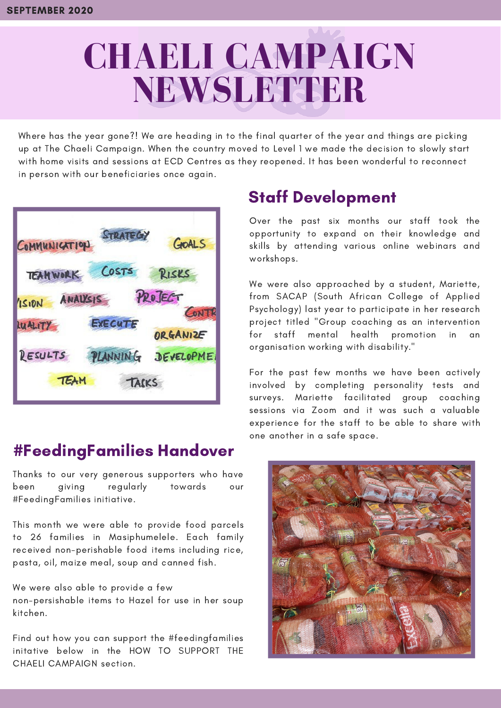# **CHAELI CAMPAIGN NEWSLETTER**

Where has the year gone?! We are heading in to the final quarter of the year and things are picking up at The Chaeli Campaign. When the country moved to Level 1 we made the decision to slowly start with home visits and sessions at ECD Centres as they reopened. It has been wonderful to reconnect in person with our beneficiaries once again.

| <b>STAR</b><br>COMMUNICATION | GOALS             |
|------------------------------|-------------------|
| COSTS<br><b>TEAMWORK</b>     | RISKS             |
| ANALYSIS<br>1510N            | PROJECT<br>CONT   |
| EXECUTE<br>LUALITY           | ORGANIZE          |
| RESULTS<br>LANNING           | <b>JEVELOPMEI</b> |
| TEAM<br>TACKS                |                   |

#### #FeedingFamilies Handover

Thanks to our very generous supporters who have been giving regularly towards our #FeedingFamilies initiative.

This month we were able to provide food parcels to 26 families in Masiphumelele. Each family received non-perishable food items including rice, pasta, oil, maize meal, soup and canned fish.

We were also able to provide a few non-persishable items to Hazel for use in her soup kitchen.

Find out how you can support the #feedingfamilies initative below in the HOW TO SUPPORT THE CHAELI CAMPAIGN section.

## Staff Development

Over the past six months our staff took the opportunity to expand on their knowledge and skills by attending various online webinars and workshops.

We were also approached by a student, Mariette, from SACAP (South African College of Applied Psychology) last year to participate in her research project titled "Group coaching as an intervention for staff mental health promotion in an organisation working with disability."

For the past few months we have been actively involved by completing personality tests and surveys. Mariette facilitated group coaching sessions via Zoom and it was such a valuable experience for the staff to be able to share with one another in a safe space.

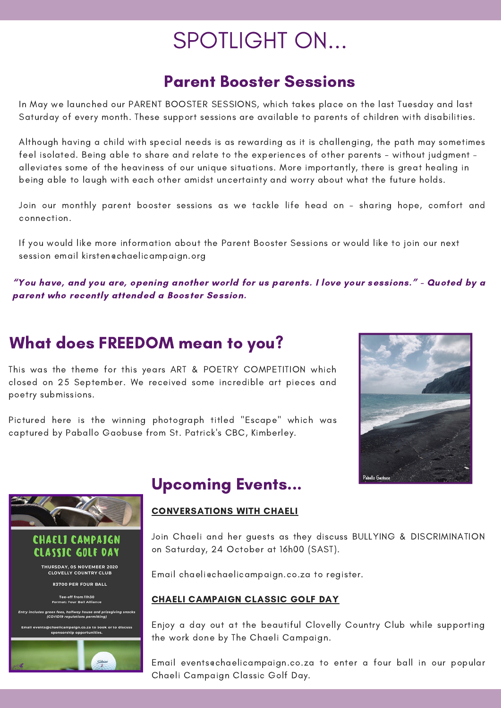## SPOTLIGHT ON...

## **Parent Booster Sessions**

In May we launched our PARENT BOOSTER SESSIONS, which takes place on the last Tuesday and last Saturday of every month. These support sessions are available to parents of children with disabilities.

Although having a child with special needs is as rewarding as it is challenging, the path may sometimes feel isolated. Being able to share and relate to the experiences of other parents - without judgment – alleviates some of the heaviness of our unique situations. More importantly, there is great healing in being able to laugh with each other amidst uncertainty and worry about what the future holds.

Join our monthly parent booster sessions as we tackle life head on - sharing hope, comfort and connection.

If you would like more information about the Parent Booster Sessions or would like to join our next session email kirsten@chaelicampaign.org

"You have, and you are, opening another world for us parents. I love your sessions." - Quoted by a parent who recently attended a Booster Session.

### What does FREEDOM mean to you?

This was the theme for this years ART & POETRY COMPETITION which closed on 25 September. We received some incredible art pieces and poetry submissions.

Pictured here is the winning photograph titled "Escape" which was captured by Paballo Gaobuse from St. Patrick's CBC, Kimberley.





### Upcoming Events...

#### CONVERSATIONS WITH CHAELI

Join Chaeli and her guests as they discuss BULLYING & DISCRIMINATION on Saturday, 24 October at 16h00 (SAST).

Email chaeli@chaelicampaign.co.za to register.

#### CHAELI CAMPAIGN CLASSIC GOLF DAY

Enjoy a day out at the beautiful Clovelly Country Club while supporting the work done by The Chaeli Campaign.

Email events@chaelicampaign.co.za to enter a four ball in our popular Chaeli Campaign Classic Golf Day.